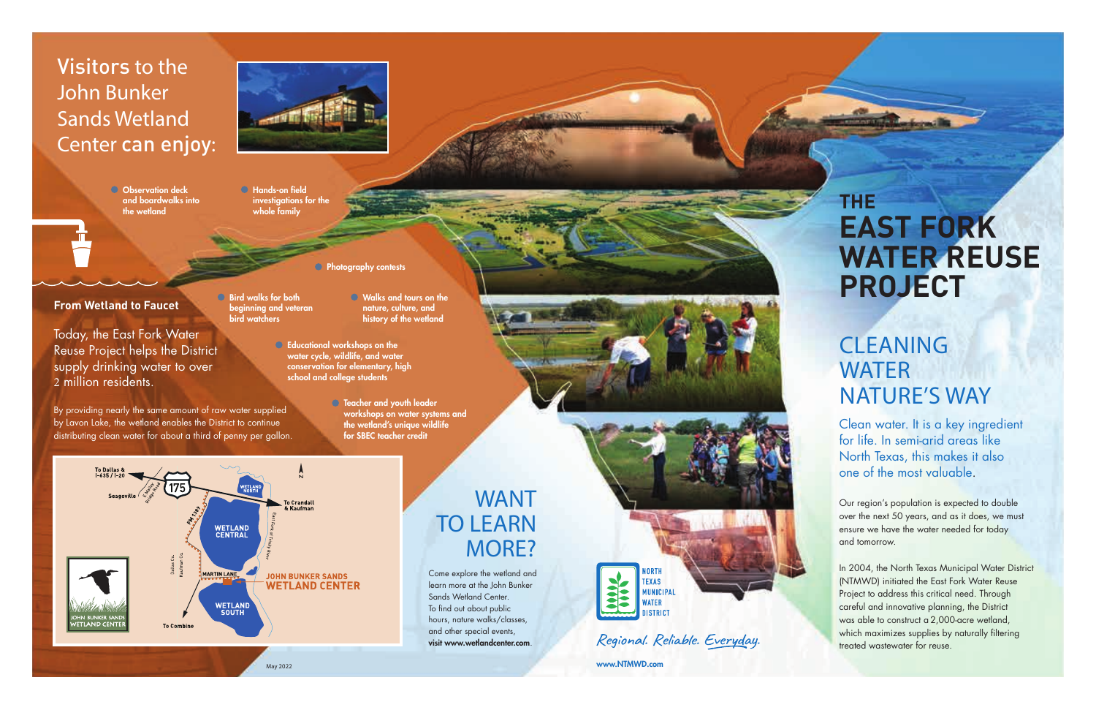### WANT TO LEARN MORE?

**TOCCUSTS THE** 

### **CLEANING WATER** NATURE'S WAY

Clean water. It is a key ingredient for life. In semi-arid areas like North Texas, this makes it also one of the most valuable .

Our region's population is expected to double over the next 50 years, and as it does, we must ensure we have the water needed for today and tomorrow.

In 2004, the North Texas Municipal Water District (NTMWD) initiated the East Fork Water Reuse Project to address this critical need. Through careful and innovative planning, the District was able to construct a 2,000-acre wetland, which maximizes supplies by naturally filtering treated wastewater for reuse.

**O** Observation deck and boardwalks into the wetland



**From Wetland to Faucet**

- Bird walks for both beginning and veteran bird watchers
- Walks and tours on the nature, culture, and history of the wetland
- Educational workshops on the water cycle, wildlife, and water conservation for elementary, high school and college students

**Photography contests** 

Today, the East Fork Water Reuse Project helps the District supply drinking water to over 2 million residents.

> **S** Teacher and youth leader workshops on water systems and the wetland's unique wildlife for SBEC teacher credit

By providing nearly the same amount of raw water supplied by Lavon Lake, the wetland enables the District to continue distributing clean water for about a third of penny per gallon.

### Visitors to the John Bunker Sands Wetland Center can enjoy :

 Hands-on field investigations for the whole family

# **THE EAST FORK WATER REUSE PROJECT**



y 2022 www.NTMWD.com

Come explore the wetland and learn more at the John Bunker Sands Wetland Center. To find out about public hours, nature walks/classes, and other special events, visit www.wetlandcenter.com .



Regional. Reliable. Everyday.